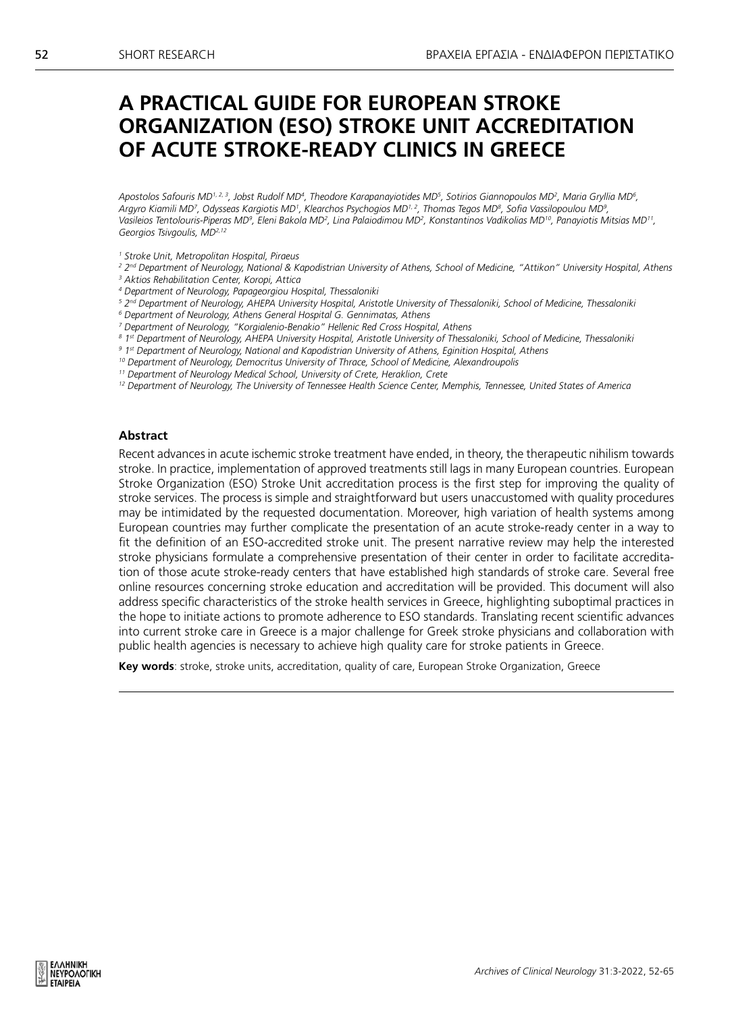# **A PRACTICAL GUIDE FOR EUROPEAN STROKE ORGANIZATION (ESO) STROKE UNIT ACCREDITATION OF ACUTE STROKE-READY CLINICS IN GREECE**

*Apostolos Safouris MD1, 2, 3, Jobst Rudolf MD4 , Theodore Karapanayiotides MD5 , Sotirios Giannopoulos MD2 , Maria Gryllia MD6 , Argyro Kiamili MD7 , Odysseas Kargiotis MD1 , Klearchos Psychogios MD1, 2, Thomas Tegos MD8 , Sofia Vassilopoulou MD9 , Vasileios Tentolouris-Piperas MD9 , Eleni Bakola MD2 , Lina Palaiodimou MD2 , Konstantinos Vadikolias MD10, Panayiotis Mitsias MD11, Georgios Tsivgoulis, MD2,12*

- *1 Stroke Unit, Metropolitan Hospital, Piraeus*
- *<sup>2</sup> 2nd Department of Neurology, National & Kapodistrian University of Athens, School of Medicine, "Attikon" University Hospital, Athens*
- *3 Aktios Rehabilitation Center, Koropi, Attica*
- *4 Department of Neurology, Papageorgiou Hospital, Thessaloniki 5 2nd Department of Neurology, AHEPA University Hospital, Aristotle University of Thessaloniki, School of Medicine, Thessaloniki*
- *6 Department of Neurology, Athens General Hospital G. Gennimatas, Athens*
- *7 Department of Neurology, "Korgialenio-Benakio" Hellenic Red Cross Hospital, Athens*
- *8 1st Department of Neurology, AHEPA University Hospital, Aristotle University of Thessaloniki, School of Medicine, Thessaloniki*
- *9 1st Department of Neurology, National and Kapodistrian University of Athens, Eginition Hospital, Athens*
- *10 Department of Neurology, Democritus University of Thrace, School of Medicine, Alexandroupolis*
- *11 Department of Neurology Medical School, University of Crete, Heraklion, Crete*
- *12 Department of Neurology, The University of Tennessee Health Science Center, Memphis, Tennessee, United States of America*

#### **Abstract**

Recent advances in acute ischemic stroke treatment have ended, in theory, the therapeutic nihilism towards stroke. In practice, implementation of approved treatments still lags in many European countries. European Stroke Organization (ESO) Stroke Unit accreditation process is the first step for improving the quality of stroke services. The process is simple and straightforward but users unaccustomed with quality procedures may be intimidated by the requested documentation. Moreover, high variation of health systems among European countries may further complicate the presentation of an acute stroke-ready center in a way to fit the definition of an ESO-accredited stroke unit. The present narrative review may help the interested stroke physicians formulate a comprehensive presentation of their center in order to facilitate accreditation of those acute stroke-ready centers that have established high standards of stroke care. Several free online resources concerning stroke education and accreditation will be provided. This document will also address specific characteristics of the stroke health services in Greece, highlighting suboptimal practices in the hope to initiate actions to promote adherence to ESO standards. Translating recent scientific advances into current stroke care in Greece is a major challenge for Greek stroke physicians and collaboration with public health agencies is necessary to achieve high quality care for stroke patients in Greece.

**Key words**: stroke, stroke units, accreditation, quality of care, European Stroke Organization, Greece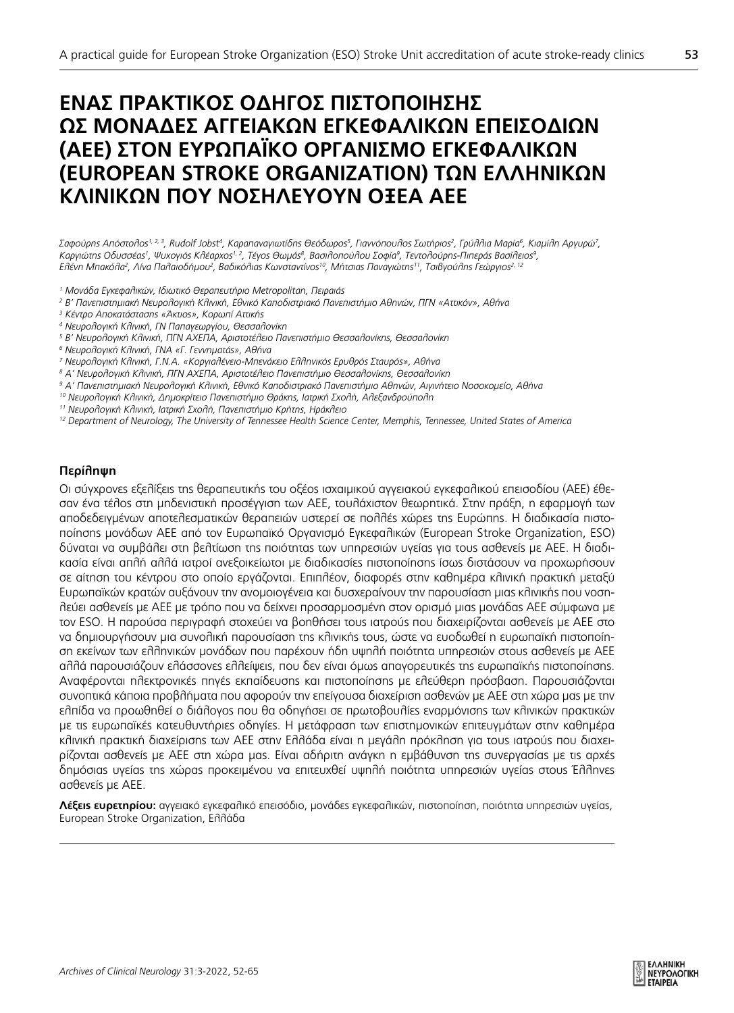# **ΈΝΑΣ ΠΡΑΚΤΙΚΌΣ ΟΔΗΓΌΣ ΠΙΣΤΟΠΟΊΗΣΗΣ ΩΣ ΜΟΝΑΔΕΣ ΑΓΓΕΙΑΚΩΝ ΕΓΚΕΦΑΛΙΚΩΝ ΕΠΕΙΣΟΔΙΩΝ (ΑΕΕ) ΣΤΟΝ ΕΥΡΩΠΑΪΚΌ ΟΡΓΑΝΙΣΜΌ ΕΓΚΕΦΑΛΙΚΩΝ (EUROPEAN STROKE ORGANIZATION) ΤΩΝ ΕΛΛΗΝΙΚΩΝ ΚΛΙΝΙΚΩΝ ΠΟΥ ΝΟΣΗΛΕΎΟΥΝ ΟΞΈΑ ΑΕΕ**

Σαφούρηs Απόστολος<sup>1,2,3</sup>, Rudolf Jobst<sup>4</sup>, Καραπαναγιωτίδηs Θεόδωροs<sup>5</sup>, Γιαννόπουλοs Σωτήριοs<sup>2</sup>, Γρύλλια Μαρία<sup>6</sup>, Κιαμίλη Αργυρώ<sup>7</sup>, Καργιώτης Οδυσσέας', Ψυχογιός Κλέαρχος<sup>1, 2</sup>, Τέγος Θωμάς<sup>8</sup>, Βασιλοπούλου Σοφία<sup>9</sup>, Τεντολούρης-Πιπεράς Βασίλειος<sup>9</sup>, *Ελένη Μπακόλα2 , Λίνα Παλαιοδήμου2 , Βαδικόλιας Κωνσταντίνος10, Μήτσιας Παναγιώτης11, Τσιβγούλης Γεώργιος2, 12*

- *<sup>1</sup> Μονάδα Εγκεφαλικών, Ιδιωτικό Θεραπευτήριο Metropolitan, Πειραιάς*
- *2 Β' Πανεπιστημιακή Νευρολογική Κλινική, Εθνικό Καποδιστριακό Πανεπιστήμιο Αθηνών, ΠΓΝ «Αττικόν», Αθήνα*
- *3 Κέντρο Αποκατάστασης «Άκτιος», Κορωπί Αττικής*
- *4 Νευρολογική Κλινική, ΓΝ Παπαγεωργίου, Θεσσαλονίκη*
- *5 Β' Νευρολογική Κλινική, ΠΓΝ ΑΧΕΠΑ, Αριστοτέλειο Πανεπιστήμιο Θεσσαλονίκης, Θεσσαλονίκη*
- *6 Νευρολογική Κλινική, ΓΝΑ «Γ. Γεννηματάς», Αθήνα*
- *7 Νευρολογική Κλινική, Γ.Ν.Α. «Κοργιαλένειο-Μπενάκειο Ελληνικός Ερυθρός Σταυρός», Αθήνα*
- *8 Α' Νευρολογική Κλινική, ΠΓΝ ΑΧΕΠΑ, Αριστοτέλειο Πανεπιστήμιο Θεσσαλονίκης, Θεσσαλονίκη*
- *9 Α' Πανεπιστημιακή Νευρολογική Κλινική, Εθνικό Καποδιστριακό Πανεπιστήμιο Αθηνών, Αιγινήτειο Νοσοκομείο, Αθήνα*
- *10 Νευρολογική Κλινική, Δημοκρίτειο Πανεπιστήμιο Θράκης, Ιατρική Σχολή, Αλεξανδρούπολη*
- *11 Νευρολογική Κλινική, Ιατρική Σχολή, Πανεπιστήμιο Κρήτης, Ηράκλειο*
- *12 Department of Neurology, The University of Tennessee Health Science Center, Memphis, Tennessee, United States of America*

# **Περίληψη**

Οι σύγχρονες εξελίξεις της θεραπευτικής του οξέος ισχαιμικού αγγειακού εγκεφαλικού επεισοδίου (ΑΕΕ) έθεσαν ένα τέλος στη μηδενιστική προσέγγιση των ΑΕΕ, τουλάχιστον θεωρητικά. Στην πράξη, η εφαρμογή των αποδεδειγμένων αποτελεσματικών θεραπειών υστερεί σε πολλές χώρες της Ευρώπης. Η διαδικασία πιστοποίησης μονάδων ΑΕΕ από τον Ευρωπαϊκό Οργανισμό Εγκεφαλικών (European Stroke Organization, ESO) δύναται να συμβάλει στη βελτίωση της ποιότητας των υπηρεσιών υγείας για τους ασθενείς με ΑΕΕ. Η διαδικασία είναι απλή αλλά ιατροί ανεξοικείωτοι με διαδικασίες πιστοποίησης ίσως διστάσουν να προχωρήσουν σε αίτηση του κέντρου στο οποίο εργάζονται. Επιπλέον, διαφορές στην καθημέρα κλινική πρακτική μεταξύ Ευρωπαϊκών κρατών αυξάνουν την ανομοιογένεια και δυσχεραίνουν την παρουσίαση μιας κλινικής που νοσηλεύει ασθενείς με ΑΕΕ με τρόπο που να δείχνει προσαρμοσμένη στον ορισμό μιας μονάδας ΑΕΕ σύμφωνα με τον ESO. H παρούσα περιγραφή στοχεύει να βοηθήσει τους ιατρούς που διαχειρίζονται ασθενείς με ΑΕΕ στο να δημιουργήσουν μια συνολική παρουσίαση της κλινικής τους, ώστε να ευοδωθεί η ευρωπαϊκή πιστοποίηση εκείνων των ελληνικών μονάδων που παρέχουν ήδη υψηλή ποιότητα υπηρεσιών στους ασθενείς με ΑΕΕ αλλά παρουσιάζουν ελάσσονες ελλείψεις, που δεν είναι όμως απαγορευτικές της ευρωπαϊκής πιστοποίησης. Αναφέρονται ηλεκτρονικές πηγές εκπαίδευσης και πιστοποίησης με ελεύθερη πρόσβαση. Παρουσιάζονται συνοπτικά κάποια προβλήματα που αφορούν την επείγουσα διαχείριση ασθενών με ΑΕΕ στη χώρα μας με την ελπίδα να προωθηθεί ο διάλογος που θα οδηγήσει σε πρωτοβουλίες εναρμόνισης των κλινικών πρακτικών με τις ευρωπαϊκές κατευθυντήριες οδηγίες. Η μετάφραση των επιστημονικών επιτευγμάτων στην καθημέρα κλινική πρακτική διαχείρισης των ΑΕΕ στην Ελλάδα είναι η μεγάλη πρόκληση για τους ιατρούς που διαχειρίζονται ασθενείς με ΑΕΕ στη χώρα μας. Είναι αδήριτη ανάγκη η εμβάθυνση της συνεργασίας με τις αρχές δημόσιας υγείας της χώρας προκειμένου να επιτευχθεί υψηλή ποιότητα υπηρεσιών υγείας στους Έλληνες ασθενείς με ΑΕΕ.

**Λέξεις ευρετηρίου:** αγγειακό εγκεφαλικό επεισόδιο, μονάδες εγκεφαλικών, πιστοποίηση, ποιότητα υπηρεσιών υγείας, European Stroke Organization, Ελλάδα

53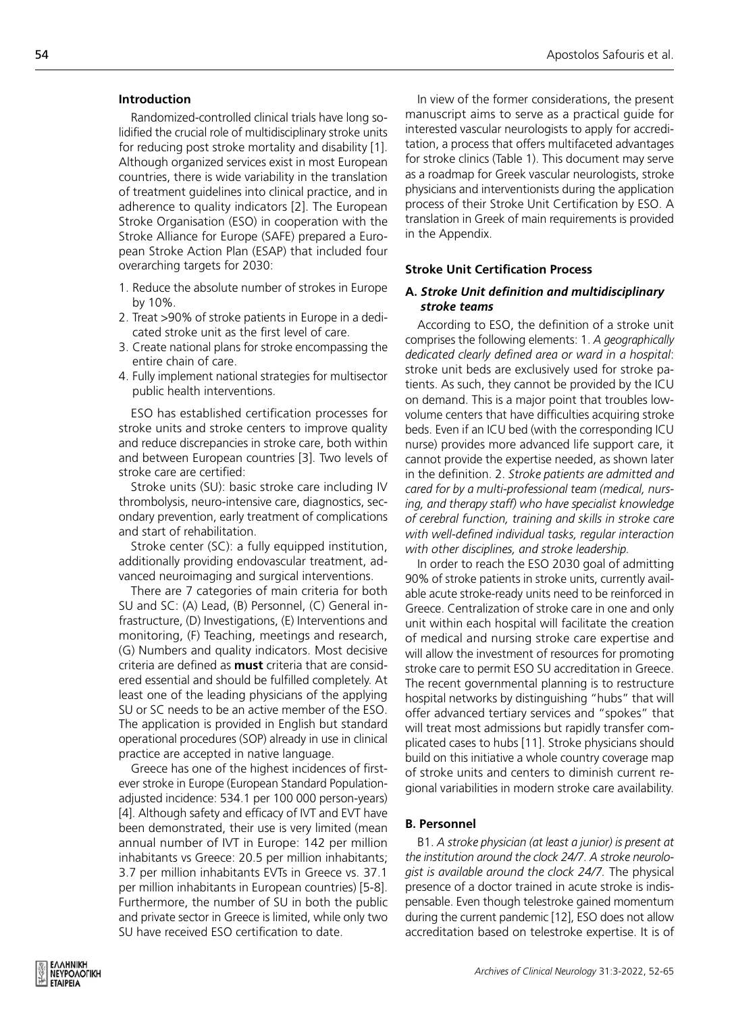### **Introduction**

Randomized-controlled clinical trials have long solidified the crucial role of multidisciplinary stroke units for reducing post stroke mortality and disability [1]. Although organized services exist in most European countries, there is wide variability in the translation of treatment guidelines into clinical practice, and in adherence to quality indicators [2]. The European Stroke Organisation (ESO) in cooperation with the Stroke Alliance for Europe (SAFE) prepared a European Stroke Action Plan (ESAP) that included four overarching targets for 2030:

- 1. Reduce the absolute number of strokes in Europe by 10%.
- 2. Treat >90% of stroke patients in Europe in a dedicated stroke unit as the first level of care.
- 3. Create national plans for stroke encompassing the entire chain of care.
- 4. Fully implement national strategies for multisector public health interventions.

ESO has established certification processes for stroke units and stroke centers to improve quality and reduce discrepancies in stroke care, both within and between European countries [3]. Two levels of stroke care are certified:

Stroke units (SU): basic stroke care including IV thrombolysis, neuro-intensive care, diagnostics, secondary prevention, early treatment of complications and start of rehabilitation.

Stroke center (SC): a fully equipped institution, additionally providing endovascular treatment, advanced neuroimaging and surgical interventions.

There are 7 categories of main criteria for both SU and SC: (A) Lead, (B) Personnel, (C) General infrastructure, (D) Investigations, (E) Interventions and monitoring, (F) Teaching, meetings and research, (G) Numbers and quality indicators. Most decisive criteria are defined as **must** criteria that are considered essential and should be fulfilled completely. At least one of the leading physicians of the applying SU or SC needs to be an active member of the ESO. The application is provided in English but standard operational procedures (SOP) already in use in clinical practice are accepted in native language.

Greece has one of the highest incidences of firstever stroke in Europe (European Standard Populationadjusted incidence: 534.1 per 100 000 person-years) [4]. Although safety and efficacy of IVT and EVT have been demonstrated, their use is very limited (mean annual number of IVT in Europe: 142 per million inhabitants vs Greece: 20.5 per million inhabitants; 3.7 per million inhabitants EVTs in Greece vs. 37.1 per million inhabitants in European countries) [5-8]. Furthermore, the number of SU in both the public and private sector in Greece is limited, while only two SU have received ESO certification to date.

In view of the former considerations, the present manuscript aims to serve as a practical guide for interested vascular neurologists to apply for accreditation, a process that offers multifaceted advantages for stroke clinics (Table 1). This document may serve as a roadmap for Greek vascular neurologists, stroke physicians and interventionists during the application process of their Stroke Unit Certification by ESO. A translation in Greek of main requirements is provided in the Appendix.

#### **Stroke Unit Certification Process**

# **Α.** *Stroke Unit definition and multidisciplinary stroke teams*

According to ESO, the definition of a stroke unit comprises the following elements: 1. *A geographically dedicated clearly defined area or ward in a hospital*: stroke unit beds are exclusively used for stroke patients. As such, they cannot be provided by the ICU on demand. This is a major point that troubles lowvolume centers that have difficulties acquiring stroke beds. Even if an ICU bed (with the corresponding ICU nurse) provides more advanced life support care, it cannot provide the expertise needed, as shown later in the definition. 2. *Stroke patients are admitted and cared for by a multi-professional team (medical, nursing, and therapy staff) who have specialist knowledge of cerebral function, training and skills in stroke care with well-defined individual tasks, regular interaction with other disciplines, and stroke leadership.* 

In order to reach the ESO 2030 goal of admitting 90% of stroke patients in stroke units, currently available acute stroke-ready units need to be reinforced in Greece. Centralization of stroke care in one and only unit within each hospital will facilitate the creation of medical and nursing stroke care expertise and will allow the investment of resources for promoting stroke care to permit ESO SU accreditation in Greece. The recent governmental planning is to restructure hospital networks by distinguishing "hubs" that will offer advanced tertiary services and "spokes" that will treat most admissions but rapidly transfer complicated cases to hubs [11]. Stroke physicians should build on this initiative a whole country coverage map of stroke units and centers to diminish current regional variabilities in modern stroke care availability.

#### **Β. Personnel**

B1. *A stroke physician (at least a junior) is present at the institution around the clock 24/7. A stroke neurologist is available around the clock 24/7.* The physical presence of a doctor trained in acute stroke is indispensable. Even though telestroke gained momentum during the current pandemic [12], ESO does not allow accreditation based on telestroke expertise. It is of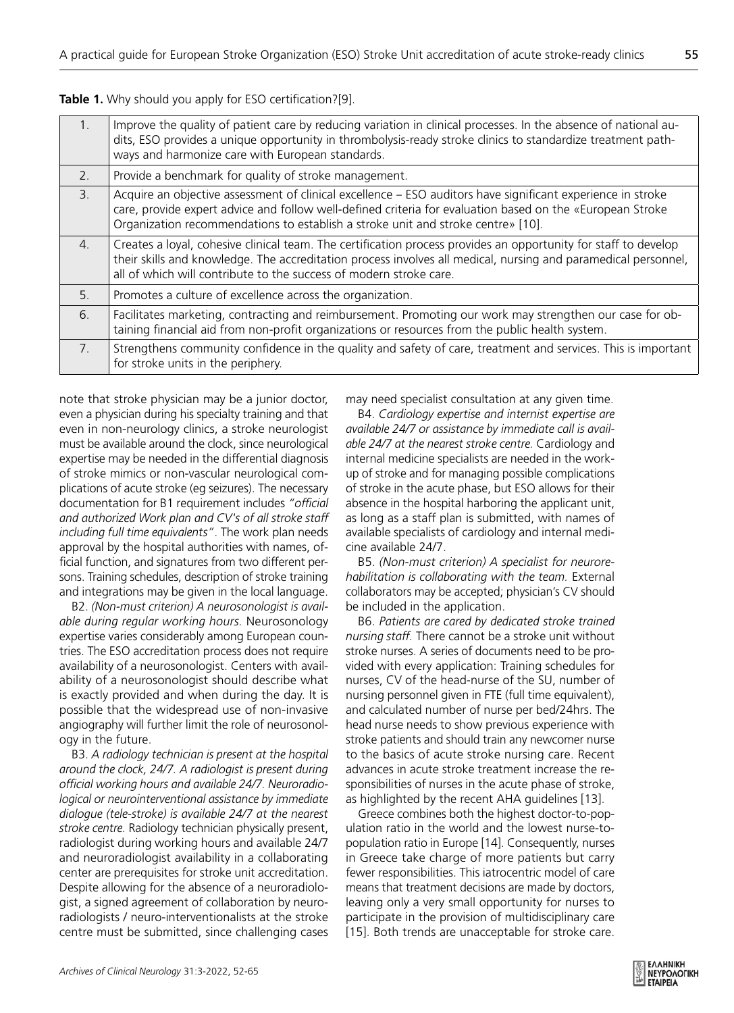**Table 1.** Why should you apply for ESO certification?[9].

| $-1.$          | Improve the quality of patient care by reducing variation in clinical processes. In the absence of national au-<br>dits, ESO provides a unique opportunity in thrombolysis-ready stroke clinics to standardize treatment path-<br>ways and harmonize care with European standards.                           |
|----------------|--------------------------------------------------------------------------------------------------------------------------------------------------------------------------------------------------------------------------------------------------------------------------------------------------------------|
| 2.             | Provide a benchmark for quality of stroke management.                                                                                                                                                                                                                                                        |
| 3.             | Acquire an objective assessment of clinical excellence - ESO auditors have significant experience in stroke<br>care, provide expert advice and follow well-defined criteria for evaluation based on the «European Stroke<br>Organization recommendations to establish a stroke unit and stroke centre» [10]. |
| 4.             | Creates a loyal, cohesive clinical team. The certification process provides an opportunity for staff to develop<br>their skills and knowledge. The accreditation process involves all medical, nursing and paramedical personnel,<br>all of which will contribute to the success of modern stroke care.      |
| 5 <sub>1</sub> | Promotes a culture of excellence across the organization.                                                                                                                                                                                                                                                    |
| 6.             | Facilitates marketing, contracting and reimbursement. Promoting our work may strengthen our case for ob-<br>taining financial aid from non-profit organizations or resources from the public health system.                                                                                                  |
| $7_{\cdot}$    | Strengthens community confidence in the quality and safety of care, treatment and services. This is important<br>for stroke units in the periphery.                                                                                                                                                          |

note that stroke physician may be a junior doctor, even a physician during his specialty training and that even in non-neurology clinics, a stroke neurologist must be available around the clock, since neurological expertise may be needed in the differential diagnosis of stroke mimics or non-vascular neurological complications of acute stroke (eg seizures). The necessary documentation for B1 requirement includes *"official and authorized Work plan and CV's of all stroke staff including full time equivalents"*. The work plan needs approval by the hospital authorities with names, official function, and signatures from two different persons. Training schedules, description of stroke training and integrations may be given in the local language.

B2. *(Non-must criterion) A neurosonologist is available during regular working hours.* Neurosonology expertise varies considerably among European countries. The ESO accreditation process does not require availability of a neurosonologist. Centers with availability of a neurosonologist should describe what is exactly provided and when during the day. It is possible that the widespread use of non-invasive angiography will further limit the role of neurosonology in the future.

B3. *A radiology technician is present at the hospital around the clock, 24/7. A radiologist is present during official working hours and available 24/7. Neuroradiological or neurointerventional assistance by immediate dialogue (tele-stroke) is available 24/7 at the nearest stroke centre.* Radiology technician physically present, radiologist during working hours and available 24/7 and neuroradiologist availability in a collaborating center are prerequisites for stroke unit accreditation. Despite allowing for the absence of a neuroradiologist, a signed agreement of collaboration by neuroradiologists / neuro-interventionalists at the stroke centre must be submitted, since challenging cases may need specialist consultation at any given time.

B4. *Cardiology expertise and internist expertise are available 24/7 or assistance by immediate call is available 24/7 at the nearest stroke centre.* Cardiology and internal medicine specialists are needed in the workup of stroke and for managing possible complications of stroke in the acute phase, but ESO allows for their absence in the hospital harboring the applicant unit, as long as a staff plan is submitted, with names of available specialists of cardiology and internal medicine available 24/7.

B5. *(Non-must criterion) A specialist for neurorehabilitation is collaborating with the team.* External collaborators may be accepted; physician's CV should be included in the application.

B6. *Patients are cared by dedicated stroke trained nursing staff.* There cannot be a stroke unit without stroke nurses. A series of documents need to be provided with every application: Training schedules for nurses, CV of the head-nurse of the SU, number of nursing personnel given in FTE (full time equivalent), and calculated number of nurse per bed/24hrs. The head nurse needs to show previous experience with stroke patients and should train any newcomer nurse to the basics of acute stroke nursing care. Recent advances in acute stroke treatment increase the responsibilities of nurses in the acute phase of stroke, as highlighted by the recent AHA guidelines [13].

Greece combines both the highest doctor-to-population ratio in the world and the lowest nurse-topopulation ratio in Europe [14]. Consequently, nurses in Greece take charge of more patients but carry fewer responsibilities. This iatrocentric model of care means that treatment decisions are made by doctors, leaving only a very small opportunity for nurses to participate in the provision of multidisciplinary care [15]. Both trends are unacceptable for stroke care.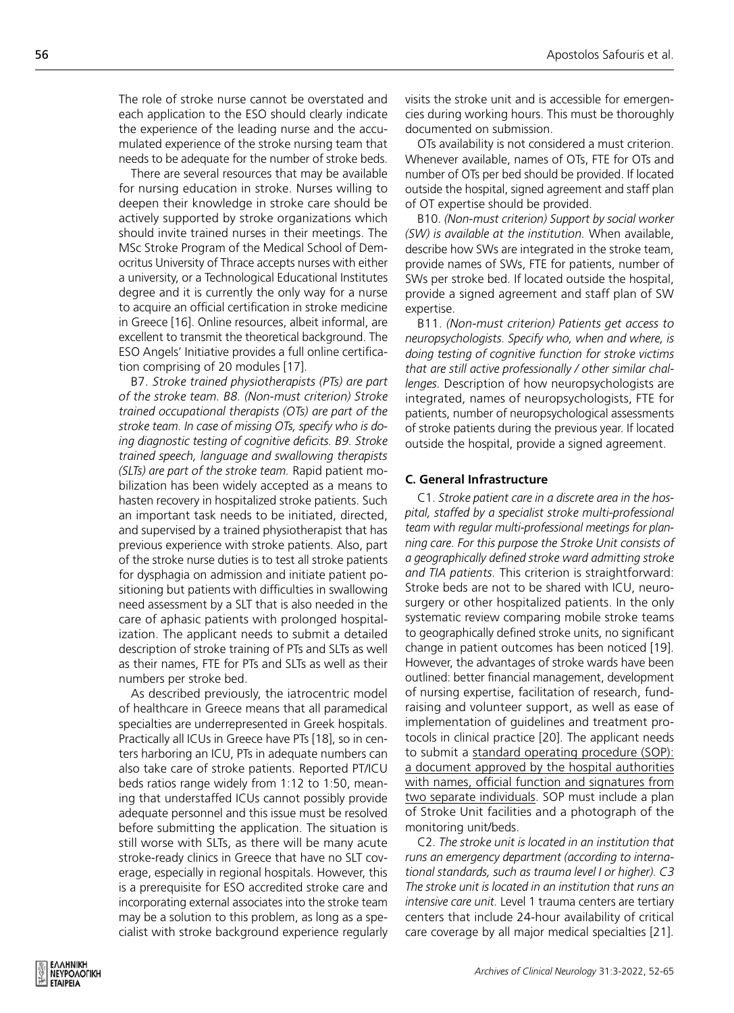The role of stroke nurse cannot be overstated and each application to the ESO should clearly indicate the experience of the leading nurse and the accumulated experience of the stroke nursing team that needs to be adequate for the number of stroke beds.

There are several resources that may be available for nursing education in stroke. Nurses willing to deepen their knowledge in stroke care should be actively supported by stroke organizations which should invite trained nurses in their meetings. The MSc Stroke Program of the Medical School of Democritus University of Thrace accepts nurses with either a university, or a Technological Educational Institutes degree and it is currently the only way for a nurse to acquire an official certification in stroke medicine in Greece [16]. Online resources, albeit informal, are excellent to transmit the theoretical background. The ESO Angels' Initiative provides a full online certification comprising of 20 modules [17].

B7. *Stroke trained physiotherapists (PTs) are part of the stroke team. B8. (Non-must criterion) Stroke trained occupational therapists (OTs) are part of the stroke team. In case of missing OTs, specify who is doing diagnostic testing of cognitive deficits. B9. Stroke trained speech, language and swallowing therapists (SLTs) are part of the stroke team.* Rapid patient mobilization has been widely accepted as a means to hasten recovery in hospitalized stroke patients. Such an important task needs to be initiated, directed, and supervised by a trained physiotherapist that has previous experience with stroke patients. Also, part of the stroke nurse duties is to test all stroke patients for dysphagia on admission and initiate patient positioning but patients with difficulties in swallowing need assessment by a SLT that is also needed in the care of aphasic patients with prolonged hospitalization. The applicant needs to submit a detailed description of stroke training of PTs and SLTs as well as their names, FTE for PTs and SLTs as well as their numbers per stroke bed.

As described previously, the iatrocentric model of healthcare in Greece means that all paramedical specialties are underrepresented in Greek hospitals. Practically all ICUs in Greece have PTs [18], so in centers harboring an ICU, PTs in adequate numbers can also take care of stroke patients. Reported PT/ICU beds ratios range widely from 1:12 to 1:50, meaning that understaffed ICUs cannot possibly provide adequate personnel and this issue must be resolved before submitting the application. The situation is still worse with SLTs, as there will be many acute stroke-ready clinics in Greece that have no SLT coverage, especially in regional hospitals. However, this is a prerequisite for ESO accredited stroke care and incorporating external associates into the stroke team may be a solution to this problem, as long as a specialist with stroke background experience regularly visits the stroke unit and is accessible for emergencies during working hours. This must be thoroughly documented on submission.

OTs availability is not considered a must criterion. Whenever available, names of OTs, FTE for OTs and number of OTs per bed should be provided. If located outside the hospital, signed agreement and staff plan of OT expertise should be provided.

B10. *(Non-must criterion) Support by social worker (SW) is available at the institution.* When available, describe how SWs are integrated in the stroke team, provide names of SWs, FTE for patients, number of SWs per stroke bed. If located outside the hospital, provide a signed agreement and staff plan of SW expertise.

B11. *(Non-must criterion) Patients get access to neuropsychologists. Specify who, when and where, is doing testing of cognitive function for stroke victims that are still active professionally / other similar challenges.* Description of how neuropsychologists are integrated, names of neuropsychologists, FTE for patients, number of neuropsychological assessments of stroke patients during the previous year. If located outside the hospital, provide a signed agreement.

### **C. General Infrastructure**

C1. *Stroke patient care in a discrete area in the hospital, staffed by a specialist stroke multi-professional team with regular multi-professional meetings for planning care. For this purpose the Stroke Unit consists of a geographically defined stroke ward admitting stroke and TIA patients.* This criterion is straightforward: Stroke beds are not to be shared with ICU, neurosurgery or other hospitalized patients. In the only systematic review comparing mobile stroke teams to geographically defined stroke units, no significant change in patient outcomes has been noticed [19]. However, the advantages of stroke wards have been outlined: better financial management, development of nursing expertise, facilitation of research, fundraising and volunteer support, as well as ease of implementation of guidelines and treatment protocols in clinical practice [20]. The applicant needs to submit a standard operating procedure (SOP): a document approved by the hospital authorities with names, official function and signatures from two separate individuals. SOP must include a plan of Stroke Unit facilities and a photograph of the monitoring unit/beds.

C2. *The stroke unit is located in an institution that runs an emergency department (according to international standards, such as trauma level I or higher). C3 The stroke unit is located in an institution that runs an intensive care unit.* Level 1 trauma centers are tertiary centers that include 24-hour availability of critical care coverage by all major medical specialties [21].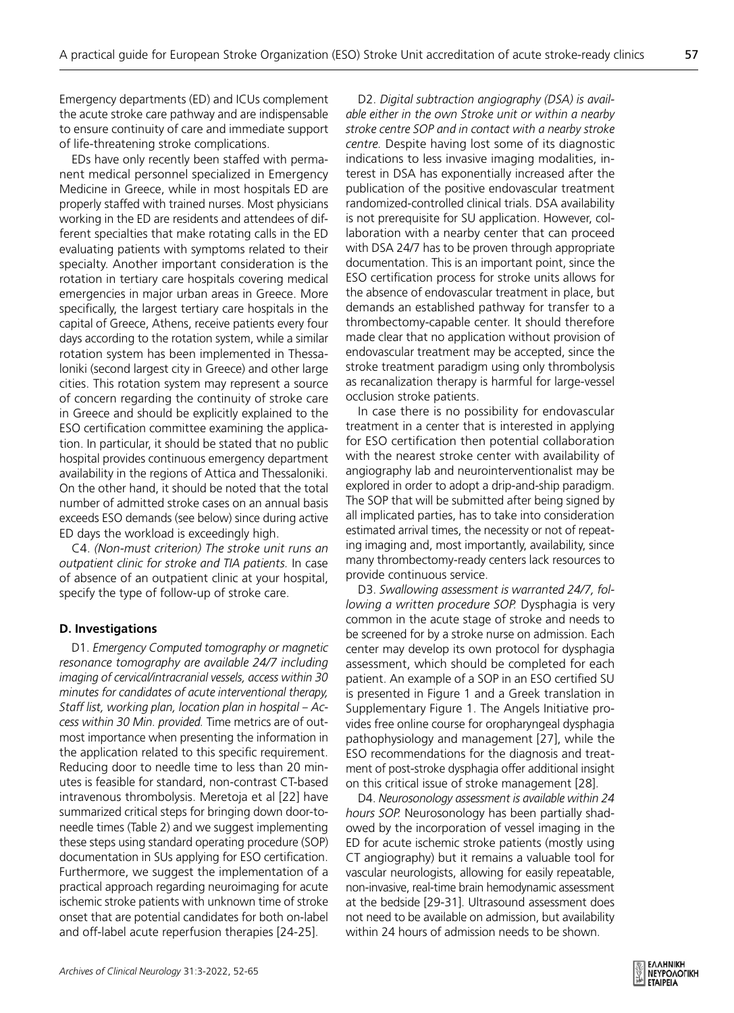Emergency departments (ED) and ICUs complement the acute stroke care pathway and are indispensable to ensure continuity of care and immediate support of life-threatening stroke complications.

EDs have only recently been staffed with permanent medical personnel specialized in Emergency Medicine in Greece, while in most hospitals ED are properly staffed with trained nurses. Most physicians working in the ED are residents and attendees of different specialties that make rotating calls in the ED evaluating patients with symptoms related to their specialty. Another important consideration is the rotation in tertiary care hospitals covering medical emergencies in major urban areas in Greece. More specifically, the largest tertiary care hospitals in the capital of Greece, Athens, receive patients every four days according to the rotation system, while a similar rotation system has been implemented in Thessaloniki (second largest city in Greece) and other large cities. This rotation system may represent a source of concern regarding the continuity of stroke care in Greece and should be explicitly explained to the ESO certification committee examining the application. In particular, it should be stated that no public hospital provides continuous emergency department availability in the regions of Attica and Thessaloniki. On the other hand, it should be noted that the total number of admitted stroke cases on an annual basis exceeds ESO demands (see below) since during active ED days the workload is exceedingly high.

C4. *(Non-must criterion) The stroke unit runs an outpatient clinic for stroke and TIA patients.* In case of absence of an outpatient clinic at your hospital, specify the type of follow-up of stroke care.

# **D. Investigations**

D1. *Emergency Computed tomography or magnetic resonance tomography are available 24/7 including imaging of cervical/intracranial vessels, access within 30 minutes for candidates of acute interventional therapy, Staff list, working plan, location plan in hospital – Access within 30 Min. provided.* Time metrics are of outmost importance when presenting the information in the application related to this specific requirement. Reducing door to needle time to less than 20 minutes is feasible for standard, non-contrast CT-based intravenous thrombolysis. Meretoja et al [22] have summarized critical steps for bringing down door-toneedle times (Table 2) and we suggest implementing these steps using standard operating procedure (SOP) documentation in SUs applying for ESO certification. Furthermore, we suggest the implementation of a practical approach regarding neuroimaging for acute ischemic stroke patients with unknown time of stroke onset that are potential candidates for both on-label and off-label acute reperfusion therapies [24-25].

D2. *Digital subtraction angiography (DSA) is available either in the own Stroke unit or within a nearby stroke centre SOP and in contact with a nearby stroke centre.* Despite having lost some of its diagnostic indications to less invasive imaging modalities, interest in DSA has exponentially increased after the publication of the positive endovascular treatment randomized-controlled clinical trials. DSA availability is not prerequisite for SU application. However, collaboration with a nearby center that can proceed with DSA 24/7 has to be proven through appropriate documentation. This is an important point, since the ESO certification process for stroke units allows for the absence of endovascular treatment in place, but demands an established pathway for transfer to a thrombectomy-capable center. It should therefore made clear that no application without provision of endovascular treatment may be accepted, since the stroke treatment paradigm using only thrombolysis as recanalization therapy is harmful for large-vessel occlusion stroke patients.

In case there is no possibility for endovascular treatment in a center that is interested in applying for ESO certification then potential collaboration with the nearest stroke center with availability of angiography lab and neurointerventionalist may be explored in order to adopt a drip-and-ship paradigm. The SOP that will be submitted after being signed by all implicated parties, has to take into consideration estimated arrival times, the necessity or not of repeating imaging and, most importantly, availability, since many thrombectomy-ready centers lack resources to provide continuous service.

D3. *Swallowing assessment is warranted 24/7, following a written procedure SOP.* Dysphagia is very common in the acute stage of stroke and needs to be screened for by a stroke nurse on admission. Each center may develop its own protocol for dysphagia assessment, which should be completed for each patient. An example of a SOP in an ESO certified SU is presented in Figure 1 and a Greek translation in Supplementary Figure 1. The Angels Initiative provides free online course for oropharyngeal dysphagia pathophysiology and management [27], while the ESO recommendations for the diagnosis and treatment of post-stroke dysphagia offer additional insight on this critical issue of stroke management [28].

D4. *Neurosonology assessment is available within 24 hours SOP.* Neurosonology has been partially shadowed by the incorporation of vessel imaging in the ED for acute ischemic stroke patients (mostly using CT angiography) but it remains a valuable tool for vascular neurologists, allowing for easily repeatable, non-invasive, real-time brain hemodynamic assessment at the bedside [29-31]. Ultrasound assessment does not need to be available on admission, but availability within 24 hours of admission needs to be shown.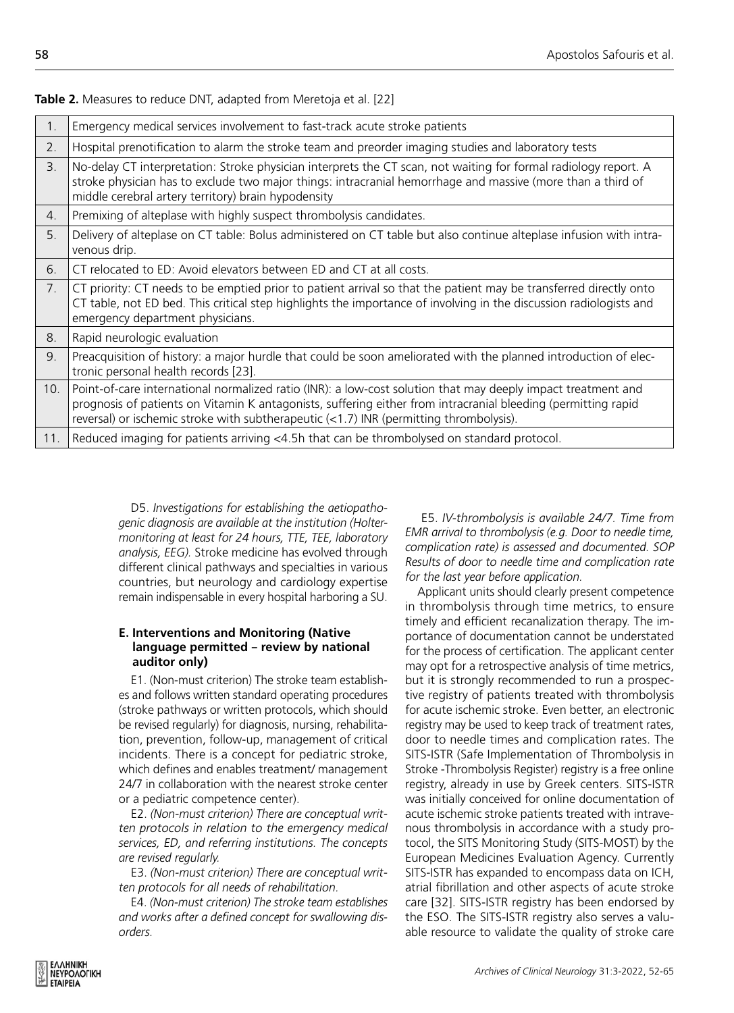| 1.             | Emergency medical services involvement to fast-track acute stroke patients                                                                                                                                                                                                                                              |
|----------------|-------------------------------------------------------------------------------------------------------------------------------------------------------------------------------------------------------------------------------------------------------------------------------------------------------------------------|
| 2.             | Hospital prenotification to alarm the stroke team and preorder imaging studies and laboratory tests                                                                                                                                                                                                                     |
| $\mathbf{3}$ . | No-delay CT interpretation: Stroke physician interprets the CT scan, not waiting for formal radiology report. A<br>stroke physician has to exclude two major things: intracranial hemorrhage and massive (more than a third of<br>middle cerebral artery territory) brain hypodensity                                   |
| 4.             | Premixing of alteplase with highly suspect thrombolysis candidates.                                                                                                                                                                                                                                                     |
| 5.             | Delivery of alteplase on CT table: Bolus administered on CT table but also continue alteplase infusion with intra-<br>venous drip.                                                                                                                                                                                      |
| 6.             | CT relocated to ED: Avoid elevators between ED and CT at all costs.                                                                                                                                                                                                                                                     |
| 7 <sub>1</sub> | CT priority: CT needs to be emptied prior to patient arrival so that the patient may be transferred directly onto<br>CT table, not ED bed. This critical step highlights the importance of involving in the discussion radiologists and<br>emergency department physicians.                                             |
| 8.             | Rapid neurologic evaluation                                                                                                                                                                                                                                                                                             |
| 9.             | Preacquisition of history: a major hurdle that could be soon ameliorated with the planned introduction of elec-<br>tronic personal health records [23].                                                                                                                                                                 |
| 10.            | Point-of-care international normalized ratio (INR): a low-cost solution that may deeply impact treatment and<br>prognosis of patients on Vitamin K antagonists, suffering either from intracranial bleeding (permitting rapid<br>reversal) or ischemic stroke with subtherapeutic (<1.7) INR (permitting thrombolysis). |
| 11.            | Reduced imaging for patients arriving <4.5h that can be thrombolysed on standard protocol.                                                                                                                                                                                                                              |
|                |                                                                                                                                                                                                                                                                                                                         |

**Table 2.** Measures to reduce DNT, adapted from Meretoja et al. [22]

D5. *Investigations for establishing the aetiopathogenic diagnosis are available at the institution (Holtermonitoring at least for 24 hours, TTE, TEE, laboratory analysis, EEG).* Stroke medicine has evolved through different clinical pathways and specialties in various countries, but neurology and cardiology expertise remain indispensable in every hospital harboring a SU.

# **E. Interventions and Monitoring (Native language permitted – review by national auditor only)**

E1. (Non-must criterion) The stroke team establishes and follows written standard operating procedures (stroke pathways or written protocols, which should be revised regularly) for diagnosis, nursing, rehabilitation, prevention, follow-up, management of critical incidents. There is a concept for pediatric stroke, which defines and enables treatment/ management 24/7 in collaboration with the nearest stroke center or a pediatric competence center).

E2. *(Non-must criterion) There are conceptual written protocols in relation to the emergency medical services, ED, and referring institutions. The concepts are revised regularly.*

E3. *(Non-must criterion) There are conceptual written protocols for all needs of rehabilitation.*

E4. *(Non-must criterion) The stroke team establishes and works after a defined concept for swallowing disorders.*

 E5. *IV-thrombolysis is available 24/7. Time from EMR arrival to thrombolysis (e.g. Door to needle time, complication rate) is assessed and documented. SOP Results of door to needle time and complication rate for the last year before application.* 

Applicant units should clearly present competence in thrombolysis through time metrics, to ensure timely and efficient recanalization therapy. The importance of documentation cannot be understated for the process of certification. The applicant center may opt for a retrospective analysis of time metrics, but it is strongly recommended to run a prospective registry of patients treated with thrombolysis for acute ischemic stroke. Even better, an electronic registry may be used to keep track of treatment rates, door to needle times and complication rates. The SITS-ISTR (Safe Implementation of Thrombolysis in Stroke -Thrombolysis Register) registry is a free online registry, already in use by Greek centers. SITS-ISTR was initially conceived for online documentation of acute ischemic stroke patients treated with intravenous thrombolysis in accordance with a study protocol, the SITS Monitoring Study (SITS-MOST) by the European Medicines Evaluation Agency. Currently SITS-ISTR has expanded to encompass data on ICH, atrial fibrillation and other aspects of acute stroke care [32]. SITS-ISTR registry has been endorsed by the ESO. The SITS-ISTR registry also serves a valuable resource to validate the quality of stroke care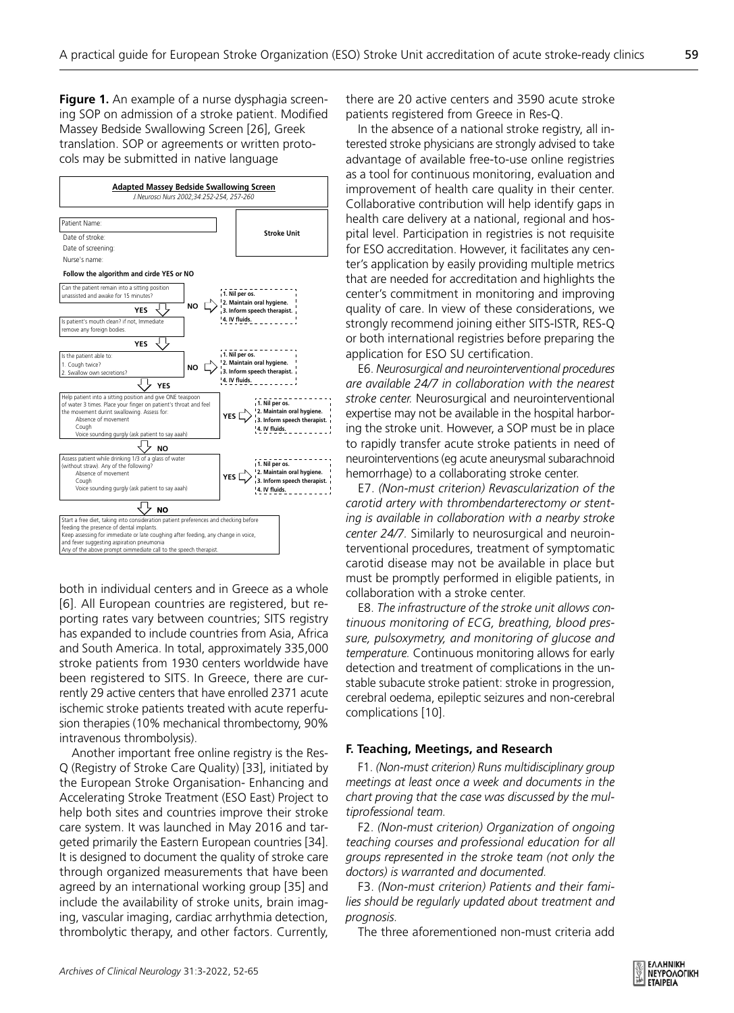**Figure 1.** An example of a nurse dysphagia screening SOP on admission of a stroke patient. Modified Massey Bedside Swallowing Screen [26], Greek translation. SOP or agreements or written protocols may be submitted in native language



both in individual centers and in Greece as a whole [6]. All European countries are registered, but reporting rates vary between countries; SITS registry has expanded to include countries from Asia, Africa and South America. In total, approximately 335,000 stroke patients from 1930 centers worldwide have been registered to SITS. In Greece, there are currently 29 active centers that have enrolled 2371 acute ischemic stroke patients treated with acute reperfusion therapies (10% mechanical thrombectomy, 90% intravenous thrombolysis).

Another important free online registry is the Res-Q (Registry of Stroke Care Quality) [33], initiated by the European Stroke Organisation- Enhancing and Accelerating Stroke Treatment (ESO East) Project to help both sites and countries improve their stroke care system. It was launched in May 2016 and targeted primarily the Eastern European countries [34]. It is designed to document the quality of stroke care through organized measurements that have been agreed by an international working group [35] and include the availability of stroke units, brain imaging, vascular imaging, cardiac arrhythmia detection, thrombolytic therapy, and other factors. Currently,

there are 20 active centers and 3590 acute stroke patients registered from Greece in Res-Q.

In the absence of a national stroke registry, all interested stroke physicians are strongly advised to take advantage of available free-to-use online registries as a tool for continuous monitoring, evaluation and improvement of health care quality in their center. Collaborative contribution will help identify gaps in health care delivery at a national, regional and hospital level. Participation in registries is not requisite for ESO accreditation. However, it facilitates any center's application by easily providing multiple metrics that are needed for accreditation and highlights the center's commitment in monitoring and improving quality of care. In view of these considerations, we strongly recommend joining either SITS-ISTR, RES-Q or both international registries before preparing the application for ESO SU certification.

E6. *Neurosurgical and neurointerventional procedures are available 24/7 in collaboration with the nearest stroke center.* Neurosurgical and neurointerventional expertise may not be available in the hospital harboring the stroke unit. However, a SOP must be in place to rapidly transfer acute stroke patients in need of neurointerventions (eg acute aneurysmal subarachnoid hemorrhage) to a collaborating stroke center.

E7. *(Non-must criterion) Revascularization of the carotid artery with thrombendarterectomy or stenting is available in collaboration with a nearby stroke center 24/7.* Similarly to neurosurgical and neurointerventional procedures, treatment of symptomatic carotid disease may not be available in place but must be promptly performed in eligible patients, in collaboration with a stroke center.

E8. *The infrastructure of the stroke unit allows continuous monitoring of ECG, breathing, blood pressure, pulsoxymetry, and monitoring of glucose and temperature.* Continuous monitoring allows for early detection and treatment of complications in the unstable subacute stroke patient: stroke in progression, cerebral oedema, epileptic seizures and non-cerebral complications [10].

#### **F. Teaching, Meetings, and Research**

F1. *(Non-must criterion) Runs multidisciplinary group meetings at least once a week and documents in the chart proving that the case was discussed by the multiprofessional team.* 

F2. *(Non-must criterion) Organization of ongoing teaching courses and professional education for all groups represented in the stroke team (not only the doctors) is warranted and documented.*

F3. *(Non-must criterion) Patients and their families should be regularly updated about treatment and prognosis.*

The three aforementioned non-must criteria add

59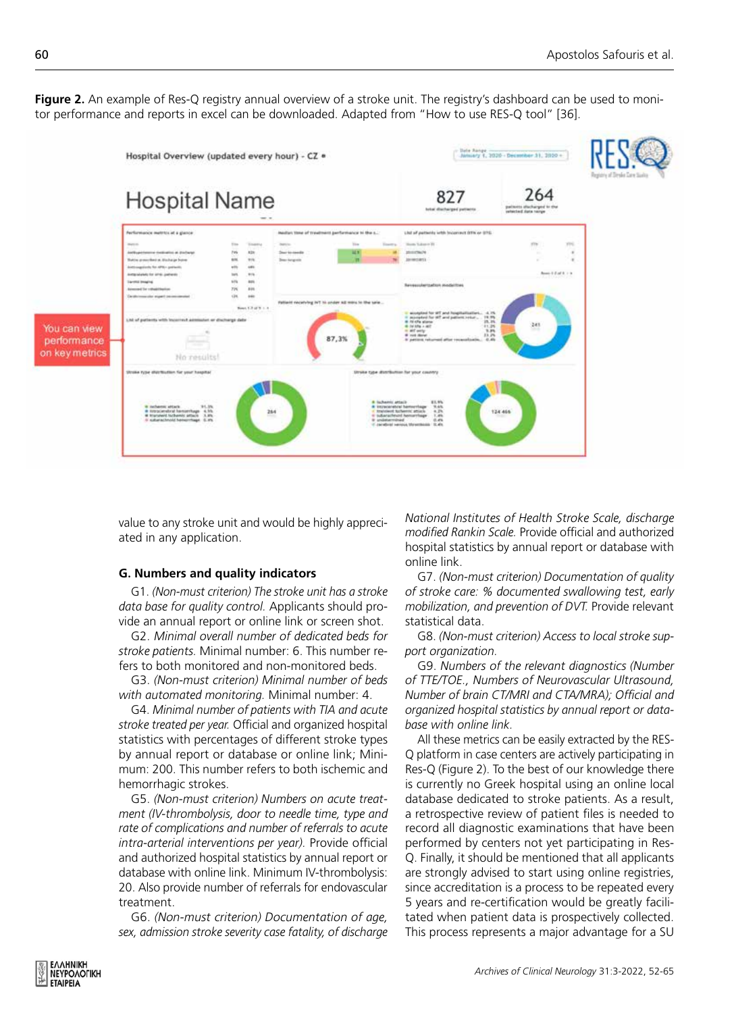Figure 2. An example of Res-Q registry annual overview of a stroke unit. The registry's dashboard can be used to monitor performance and reports in excel can be downloaded. Adapted from "How to use RES-Q tool" [36].



value to any stroke unit and would be highly appreciated in any application.

#### **G. Numbers and quality indicators**

G1. *(Non-must criterion) The stroke unit has a stroke data base for quality control.* Applicants should provide an annual report or online link or screen shot.

G2. *Minimal overall number of dedicated beds for stroke patients.* Minimal number: 6. This number refers to both monitored and non-monitored beds.

G3. *(Non-must criterion) Minimal number of beds with automated monitoring.* Minimal number: 4.

G4. *Minimal number of patients with TIA and acute stroke treated per year.* Official and organized hospital statistics with percentages of different stroke types by annual report or database or online link; Minimum: 200. This number refers to both ischemic and hemorrhagic strokes.

G5. *(Non-must criterion) Numbers on acute treatment (IV-thrombolysis, door to needle time, type and rate of complications and number of referrals to acute intra-arterial interventions per year).* Provide official and authorized hospital statistics by annual report or database with online link. Minimum IV-thrombolysis: 20. Also provide number of referrals for endovascular treatment.

G6. *(Non-must criterion) Documentation of age, sex, admission stroke severity case fatality, of discharge*  *National Institutes of Health Stroke Scale, discharge modified Rankin Scale.* Provide official and authorized hospital statistics by annual report or database with online link.

G7. *(Non-must criterion) Documentation of quality of stroke care: % documented swallowing test, early mobilization, and prevention of DVT.* Provide relevant statistical data.

G8. *(Non-must criterion) Access to local stroke support organization.* 

G9. *Numbers of the relevant diagnostics (Number of TTE/TOE., Numbers of Neurovascular Ultrasound, Number of brain CT/MRI and CTA/MRA); Official and organized hospital statistics by annual report or database with online link.* 

All these metrics can be easily extracted by the RES-Q platform in case centers are actively participating in Res-Q (Figure 2). To the best of our knowledge there is currently no Greek hospital using an online local database dedicated to stroke patients. As a result, a retrospective review of patient files is needed to record all diagnostic examinations that have been performed by centers not yet participating in Res-Q. Finally, it should be mentioned that all applicants are strongly advised to start using online registries, since accreditation is a process to be repeated every 5 years and re-certification would be greatly facilitated when patient data is prospectively collected. This process represents a major advantage for a SU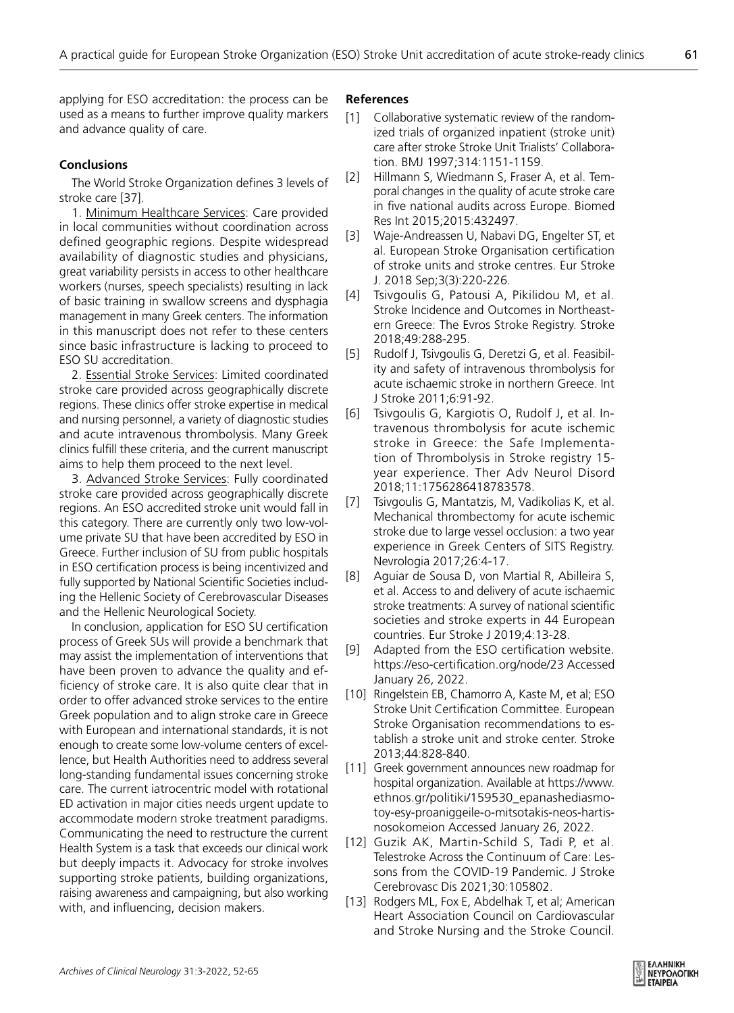applying for ESO accreditation: the process can be used as a means to further improve quality markers and advance quality of care.

# **Conclusions**

The World Stroke Organization defines 3 levels of stroke care [37].

1. Minimum Healthcare Services: Care provided in local communities without coordination across defined geographic regions. Despite widespread availability of diagnostic studies and physicians, great variability persists in access to other healthcare workers (nurses, speech specialists) resulting in lack of basic training in swallow screens and dysphagia management in many Greek centers. The information in this manuscript does not refer to these centers since basic infrastructure is lacking to proceed to ESO SU accreditation.

2. Essential Stroke Services: Limited coordinated stroke care provided across geographically discrete regions. These clinics offer stroke expertise in medical and nursing personnel, a variety of diagnostic studies and acute intravenous thrombolysis. Many Greek clinics fulfill these criteria, and the current manuscript aims to help them proceed to the next level.

3. Advanced Stroke Services: Fully coordinated stroke care provided across geographically discrete regions. An ESO accredited stroke unit would fall in this category. There are currently only two low-volume private SU that have been accredited by ESO in Greece. Further inclusion of SU from public hospitals in ESO certification process is being incentivized and fully supported by National Scientific Societies including the Hellenic Society of Cerebrovascular Diseases and the Hellenic Neurological Society.

In conclusion, application for ESO SU certification process of Greek SUs will provide a benchmark that may assist the implementation of interventions that have been proven to advance the quality and efficiency of stroke care. It is also quite clear that in order to offer advanced stroke services to the entire Greek population and to align stroke care in Greece with European and international standards, it is not enough to create some low-volume centers of excellence, but Health Authorities need to address several long-standing fundamental issues concerning stroke care. The current iatrocentric model with rotational ED activation in major cities needs urgent update to accommodate modern stroke treatment paradigms. Communicating the need to restructure the current Health System is a task that exceeds our clinical work but deeply impacts it. Advocacy for stroke involves supporting stroke patients, building organizations, raising awareness and campaigning, but also working with, and influencing, decision makers.

### **References**

- [1] Collaborative systematic review of the randomized trials of organized inpatient (stroke unit) care after stroke Stroke Unit Trialists' Collaboration. BMJ 1997;314:1151-1159.
- [2] Hillmann S, Wiedmann S, Fraser A, et al. Temporal changes in the quality of acute stroke care in five national audits across Europe. Biomed Res Int 2015;2015:432497.
- [3] Waje-Andreassen U, Nabavi DG, Engelter ST, et al. European Stroke Organisation certification of stroke units and stroke centres. Eur Stroke J. 2018 Sep;3(3):220-226.
- [4] Tsivgoulis G, Patousi A, Pikilidou M, et al. Stroke Incidence and Outcomes in Northeastern Greece: The Evros Stroke Registry. Stroke 2018;49:288-295.
- [5] Rudolf J, Tsivgoulis G, Deretzi G, et al. Feasibility and safety of intravenous thrombolysis for acute ischaemic stroke in northern Greece. Int J Stroke 2011;6:91-92.
- [6] Tsivgoulis G, Kargiotis O, Rudolf J, et al. Intravenous thrombolysis for acute ischemic stroke in Greece: the Safe Implementation of Thrombolysis in Stroke registry 15 year experience. Ther Adv Neurol Disord 2018;11:1756286418783578.
- [7] Tsivgoulis G, Mantatzis, M, Vadikolias K, et al. Mechanical thrombectomy for acute ischemic stroke due to large vessel occlusion: a two year experience in Greek Centers of SITS Registry. Nevrologia 2017;26:4-17.
- [8] Aguiar de Sousa D, von Martial R, Abilleira S, et al. Access to and delivery of acute ischaemic stroke treatments: A survey of national scientific societies and stroke experts in 44 European countries. Eur Stroke J 2019;4:13-28.
- [9] Adapted from the ESO certification website. https://eso-certification.org/node/23 Accessed January 26, 2022.
- [10] Ringelstein EB, Chamorro A, Kaste M, et al; ESO Stroke Unit Certification Committee. European Stroke Organisation recommendations to establish a stroke unit and stroke center. Stroke 2013;44:828-840.
- [11] Greek government announces new roadmap for hospital organization. Available at https://www. ethnos.gr/politiki/159530\_epanashediasmotoy-esy-proaniggeile-o-mitsotakis-neos-hartisnosokomeion Accessed January 26, 2022.
- [12] Guzik AK, Martin-Schild S, Tadi P, et al. Telestroke Across the Continuum of Care: Lessons from the COVID-19 Pandemic. J Stroke Cerebrovasc Dis 2021;30:105802.
- [13] Rodgers ML, Fox E, Abdelhak T, et al; American Heart Association Council on Cardiovascular and Stroke Nursing and the Stroke Council.

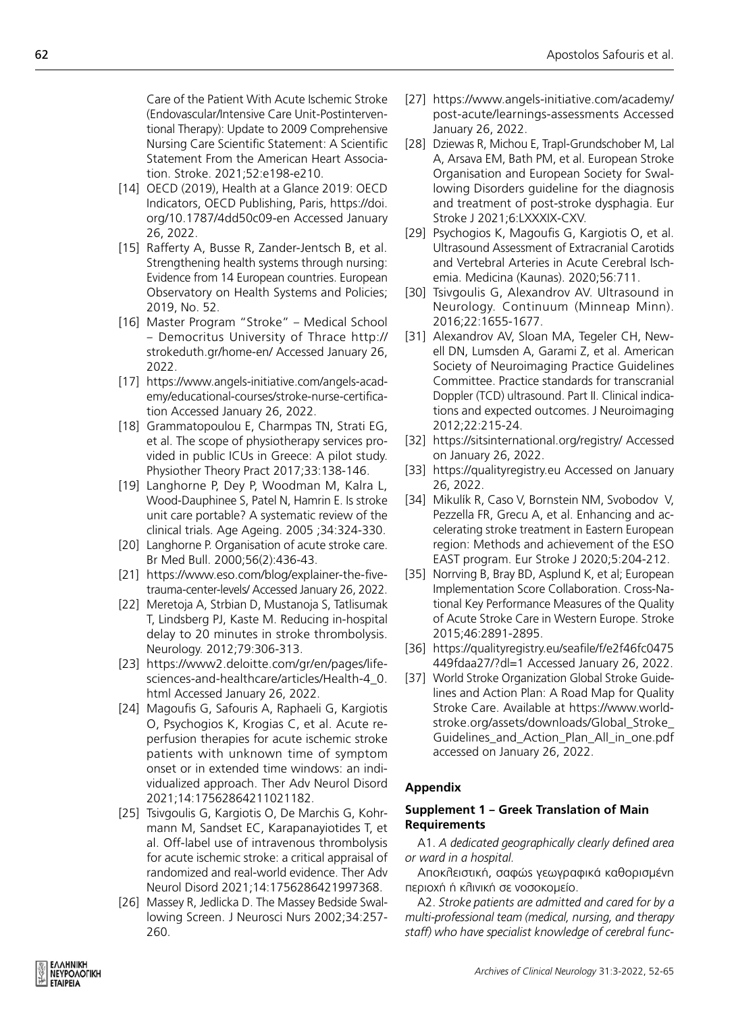Care of the Patient With Acute Ischemic Stroke (Endovascular/Intensive Care Unit-Postinterventional Therapy): Update to 2009 Comprehensive Nursing Care Scientific Statement: A Scientific Statement From the American Heart Association. Stroke. 2021;52:e198-e210.

- [14] OECD (2019), Health at a Glance 2019: OECD Indicators, OECD Publishing, Paris, https://doi. org/10.1787/4dd50c09-en Accessed January 26, 2022.
- [15] Rafferty Α, Busse R, Zander-Jentsch B, et al. Strengthening health systems through nursing: Evidence from 14 European countries. European Observatory on Health Systems and Policies; 2019, No. 52.
- [16] Master Program "Stroke" Medical School – Democritus University of Thrace http:// strokeduth.gr/home-en/ Accessed January 26, 2022.
- [17] https://www.angels-initiative.com/angels-academy/educational-courses/stroke-nurse-certification Accessed January 26, 2022.
- [18] Grammatopoulou E, Charmpas TN, Strati EG, et al. The scope of physiotherapy services provided in public ICUs in Greece: A pilot study. Physiother Theory Pract 2017;33:138-146.
- [19] Langhorne P, Dey P, Woodman M, Kalra L, Wood-Dauphinee S, Patel N, Hamrin E. Is stroke unit care portable? A systematic review of the clinical trials. Age Ageing. 2005 ;34:324-330.
- [20] Langhorne P. Organisation of acute stroke care. Br Med Bull. 2000;56(2):436-43.
- [21] https://www.eso.com/blog/explainer-the-fivetrauma-center-levels/ Accessed January 26, 2022.
- [22] Meretoja A, Strbian D, Mustanoja S, Tatlisumak T, Lindsberg PJ, Kaste M. Reducing in-hospital delay to 20 minutes in stroke thrombolysis. Neurology. 2012;79:306-313.
- [23] https://www2.deloitte.com/gr/en/pages/lifesciences-and-healthcare/articles/Health-4\_0. html Accessed January 26, 2022.
- [24] Magoufis G, Safouris A, Raphaeli G, Kargiotis O, Psychogios K, Krogias C, et al. Acute reperfusion therapies for acute ischemic stroke patients with unknown time of symptom onset or in extended time windows: an individualized approach. Ther Adv Neurol Disord 2021;14:17562864211021182.
- [25] Tsivgoulis G, Kargiotis O, De Marchis G, Kohrmann M, Sandset EC, Karapanayiotides T, et al. Off-label use of intravenous thrombolysis for acute ischemic stroke: a critical appraisal of randomized and real-world evidence. Ther Adv Neurol Disord 2021;14:1756286421997368.
- [26] Massey R, Jedlicka D. The Massey Bedside Swallowing Screen. J Neurosci Nurs 2002;34:257- 260.
- [27] https://www.angels-initiative.com/academy/ post-acute/learnings-assessments Accessed January 26, 2022.
- [28] Dziewas R, Michou E, Trapl-Grundschober M, Lal A, Arsava EM, Bath PM, et al. European Stroke Organisation and European Society for Swallowing Disorders guideline for the diagnosis and treatment of post-stroke dysphagia. Eur Stroke J 2021;6:LXXXIX-CXV.
- [29] Psychogios K, Magoufis G, Kargiotis O, et al. Ultrasound Assessment of Extracranial Carotids and Vertebral Arteries in Acute Cerebral Ischemia. Medicina (Kaunas). 2020;56:711.
- [30] Tsivgoulis G, Alexandrov AV. Ultrasound in Neurology. Continuum (Minneap Minn). 2016;22:1655-1677.
- [31] Alexandrov AV, Sloan MA, Tegeler CH, Newell DN, Lumsden A, Garami Z, et al. American Society of Neuroimaging Practice Guidelines Committee. Practice standards for transcranial Doppler (TCD) ultrasound. Part II. Clinical indications and expected outcomes. J Neuroimaging 2012;22:215-24.
- [32] https://sitsinternational.org/registry/ Accessed on January 26, 2022.
- [33] https://qualityregistry.eu Accessed on January 26, 2022.
- [34] Mikulík R, Caso V, Bornstein NM, SvobodováV, Pezzella FR, Grecu A, et al. Enhancing and accelerating stroke treatment in Eastern European region: Methods and achievement of the ESO EAST program. Eur Stroke J 2020;5:204-212.
- [35] Norrving B, Bray BD, Asplund K, et al; European Implementation Score Collaboration. Cross-National Key Performance Measures of the Quality of Acute Stroke Care in Western Europe. Stroke 2015;46:2891-2895.
- [36] https://qualityregistry.eu/seafile/f/e2f46fc0475 449fdaa27/?dl=1 Accessed January 26, 2022.
- [37] World Stroke Organization Global Stroke Guidelines and Action Plan: A Road Map for Quality Stroke Care. Available at https://www.worldstroke.org/assets/downloads/Global\_Stroke\_ Guidelines\_and\_Action\_Plan\_All\_in\_one.pdf accessed on January 26, 2022.

# **Appendix**

# **Supplement 1 – Greek Translation of Main Requirements**

Α1. *A dedicated geographically clearly defined area or ward in a hospital.*

Αποκλειστική, σαφώς γεωγραφικά καθορισμένη περιοχή ή κλινική σε νοσοκομείο.

Α2. *Stroke patients are admitted and cared for by a multi-professional team (medical, nursing, and therapy staff) who have specialist knowledge of cerebral func-*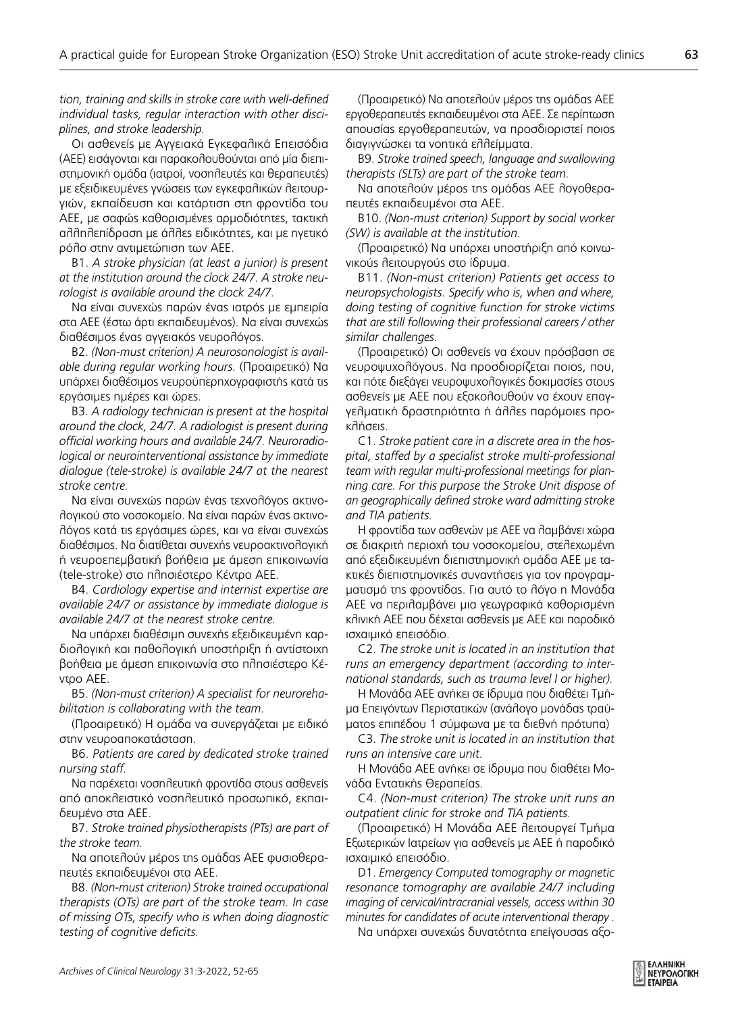*tion, training and skills in stroke care with well-defined individual tasks, regular interaction with other disciplines, and stroke leadership.* 

Οι ασθενείς με Αγγειακά Εγκεφαλικά Επεισόδια (ΑΕΕ) εισάγονται και παρακολουθούνται από μία διεπιστημονική ομάδα (ιατροί, νοσηλευτές και θεραπευτές) με εξειδικευμένες γνώσεις των εγκεφαλικών λειτουργιών, εκπαίδευση και κατάρτιση στη φροντίδα του ΑΕΕ, με σαφώς καθορισμένες αρμοδιότητες, τακτική αλληλεπίδραση με άλλες ειδικότητες, και με ηγετικό ρόλο στην αντιμετώπιση των ΑΕΕ.

B1. *A stroke physician (at least a junior) is present at the institution around the clock 24/7. A stroke neurologist is available around the clock 24/7.*

Να είναι συνεχώς παρών ένας ιατρός με εμπειρία στα ΑΕΕ (έστω άρτι εκπαιδευμένος). Να είναι συνεχώς διαθέσιμος ένας αγγειακός νευρολόγος.

B2. *(Non-must criterion) A neurosonologist is available during regular working hours.* (Προαιρετικό) Να υπάρχει διαθέσιμος νευροϋπερηχογραφιστής κατά τις εργάσιμες ημέρες και ώρες.

B3. *A radiology technician is present at the hospital around the clock, 24/7. A radiologist is present during official working hours and available 24/7. Neuroradiological or neurointerventional assistance by immediate dialogue (tele-stroke) is available 24/7 at the nearest stroke centre.* 

Να είναι συνεχώς παρών ένας τεχνολόγος ακτινολογικού στο νοσοκομείο. Να είναι παρών ένας ακτινολόγος κατά τις εργάσιμες ώρες, και να είναι συνεχώς διαθέσιμος. Να διατίθεται συνεχής νευροακτινολογική ή νευροεπεμβατική βοήθεια με άμεση επικοινωνία (tele-stroke) στο πλησιέστερο Κέντρο ΑΕΕ.

B4. *Cardiology expertise and internist expertise are available 24/7 or assistance by immediate dialogue is available 24/7 at the nearest stroke centre.* 

Να υπάρχει διαθέσιμη συνεχής εξειδικευμένη καρδιολογική και παθολογική υποστήριξη ή αντίστοιχη βοήθεια με άμεση επικοινωνία στο πλησιέστερο Κέντρο ΑΕΕ.

B5. *(Non-must criterion) A specialist for neurorehabilitation is collaborating with the team.*

(Προαιρετικό) Η ομάδα να συνεργάζεται με ειδικό στην νευροαποκατάσταση.

B6. *Patients are cared by dedicated stroke trained nursing staff.* 

Να παρέχεται νοσηλευτική φροντίδα στους ασθενείς από αποκλειστικό νοσηλευτικό προσωπικό, εκπαιδευμένο στα ΑΕΕ.

B7. *Stroke trained physiotherapists (PTs) are part of the stroke team.* 

Να αποτελούν μέρος της ομάδας ΑΕΕ φυσιοθεραπευτές εκπαιδευμένοι στα ΑΕΕ.

B8. *(Non-must criterion) Stroke trained occupational therapists (OTs) are part of the stroke team. In case of missing OTs, specify who is when doing diagnostic testing of cognitive deficits.* 

(Προαιρετικό) Να αποτελούν μέρος της ομάδας ΑΕΕ εργοθεραπευτές εκπαιδευμένοι στα ΑΕΕ. Σε περίπτωση απουσίας εργοθεραπευτών, να προσδιοριστεί ποιος διαγιγνώσκει τα νοητικά ελλείμματα.

B9. *Stroke trained speech, language and swallowing therapists (SLTs) are part of the stroke team.* 

Να αποτελούν μέρος της ομάδας ΑΕΕ λογοθεραπευτές εκπαιδευμένοι στα ΑΕΕ.

B10. *(Non-must criterion) Support by social worker (SW) is available at the institution.* 

(Προαιρετικό) Να υπάρχει υποστήριξη από κοινωνικούς λειτουργούς στο ίδρυμα.

B11. *(Non-must criterion) Patients get access to neuropsychologists. Specify who is, when and where, doing testing of cognitive function for stroke victims that are still following their professional careers / other similar challenges.* 

(Προαιρετικό) Οι ασθενείς να έχουν πρόσβαση σε νευροψυχολόγους. Να προσδιορίζεται ποιος, που, και πότε διεξάγει νευροψυχολογικές δοκιμασίες στους ασθενείς με ΑΕΕ που εξακολουθούν να έχουν επαγγελματική δραστηριότητα ή άλλες παρόμοιες προκλήσεις.

C1. *Stroke patient care in a discrete area in the hospital, staffed by a specialist stroke multi-professional team with regular multi-professional meetings for planning care. For this purpose the Stroke Unit dispose of an geographically defined stroke ward admitting stroke and TIA patients.* 

Η φροντίδα των ασθενών με ΑΕΕ να λαμβάνει χώρα σε διακριτή περιοχή του νοσοκομείου, στελεχωμένη από εξειδικευμένη διεπιστημονική ομάδα ΑΕΕ με τακτικές διεπιστημονικές συναντήσεις για τον προγραμματισμό της φροντίδας. Για αυτό το λόγο η Μονάδα ΑΕΕ να περιλαμβάνει μια γεωγραφικά καθορισμένη κλινική ΑΕΕ που δέχεται ασθενείς με ΑΕΕ και παροδικό ισχαιμικό επεισόδιο.

C2. *The stroke unit is located in an institution that runs an emergency department (according to international standards, such as trauma level I or higher).* 

Η Μονάδα ΑΕΕ ανήκει σε ίδρυμα που διαθέτει Τμήμα Επειγόντων Περιστατικών (ανάλογο μονάδας τραύματος επιπέδου 1 σύμφωνα με τα διεθνή πρότυπα)

C3. *The stroke unit is located in an institution that runs an intensive care unit.*

Η Μονάδα ΑΕΕ ανήκει σε ίδρυμα που διαθέτει Μονάδα Εντατικής Θεραπείας.

C4. *(Non-must criterion) The stroke unit runs an outpatient clinic for stroke and TIA patients.*

(Προαιρετικό) Η Μονάδα ΑΕΕ λειτουργεί Τμήμα Εξωτερικών Ιατρείων για ασθενείς με ΑΕΕ ή παροδικό ισχαιμικό επεισόδιο.

D1. *Emergency Computed tomography or magnetic resonance tomography are available 24/7 including imaging of cervical/intracranial vessels, access within 30 minutes for candidates of acute interventional therapy .* Να υπάρχει συνεχώς δυνατότητα επείγουσας αξο63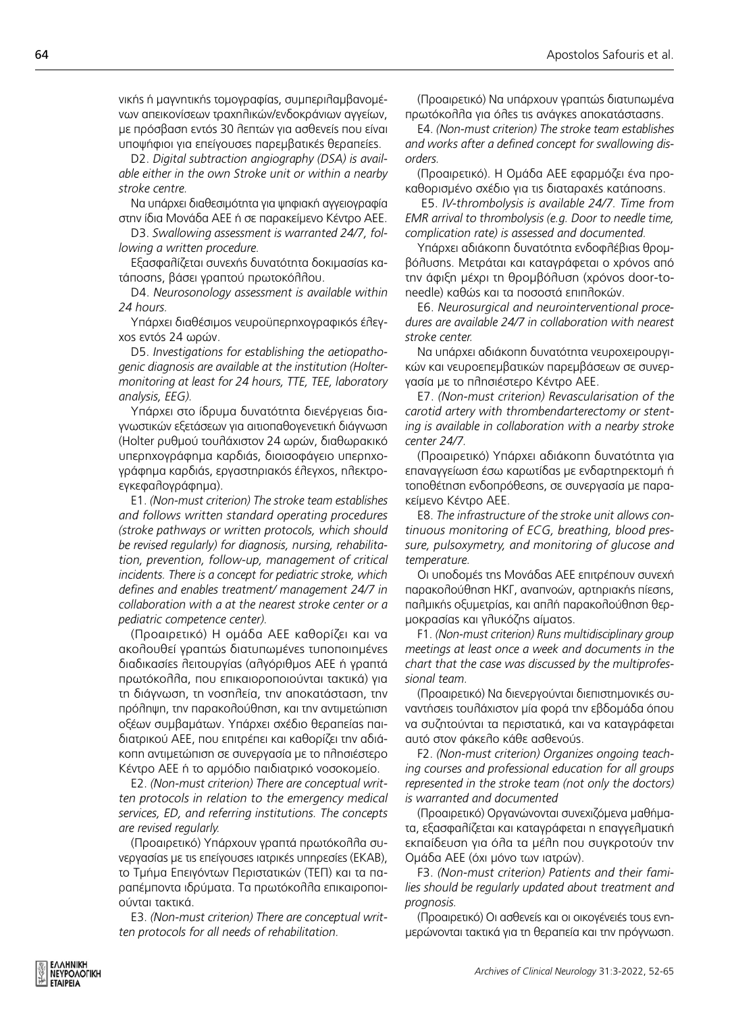νικής ή μαγνητικής τομογραφίας, συμπεριλαμβανομένων απεικονίσεων τραχηλικών/ενδοκράνιων αγγείων, με πρόσβαση εντός 30 λεπτών για ασθενείς που είναι υποψήφιοι για επείγουσες παρεμβατικές θεραπείες.

D2. *Digital subtraction angiography (DSA) is available either in the own Stroke unit or within a nearby stroke centre.*

Να υπάρχει διαθεσιμότητα για ψηφιακή αγγειογραφία στην ίδια Μονάδα ΑΕΕ ή σε παρακείμενο Κέντρο ΑΕΕ.

D3. *Swallowing assessment is warranted 24/7, following a written procedure.* 

Εξασφαλίζεται συνεχής δυνατότητα δοκιμασίας κατάποσης, βάσει γραπτού πρωτοκόλλου.

D4. *Neurosonology assessment is available within 24 hours.*

Υπάρχει διαθέσιμος νευροϋπερηχογραφικός έλεγχος εντός 24 ωρών.

D5. *Investigations for establishing the aetiopathogenic diagnosis are available at the institution (Holtermonitoring at least for 24 hours, TTE, TEE, laboratory analysis, EEG).* 

Υπάρχει στο ίδρυμα δυνατότητα διενέργειας διαγνωστικών εξετάσεων για αιτιοπαθογενετική διάγνωση (Holter ρυθμού τουλάχιστον 24 ωρών, διαθωρακικό υπερηχογράφημα καρδιάς, διοισοφάγειο υπερηχογράφημα καρδιάς, εργαστηριακός έλεγχος, ηλεκτροεγκεφαλογράφημα).

E1. *(Non-must criterion) The stroke team establishes and follows written standard operating procedures (stroke pathways or written protocols, which should be revised regularly) for diagnosis, nursing, rehabilitation, prevention, follow-up, management of critical incidents. There is a concept for pediatric stroke, which defines and enables treatment/ management 24/7 in collaboration with a at the nearest stroke center or a pediatric competence center).* 

(Προαιρετικό) Η ομάδα ΑΕΕ καθορίζει και να ακολουθεί γραπτώς διατυπωμένες τυποποιημένες διαδικασίες λειτουργίας (αλγόριθμος ΑΕΕ ή γραπτά πρωτόκολλα, που επικαιοροποιούνται τακτικά) για τη διάγνωση, τη νοσηλεία, την αποκατάσταση, την πρόληψη, την παρακολούθηση, και την αντιμετώπιση οξέων συμβαμάτων. Υπάρχει σχέδιο θεραπείας παιδιατρικού ΑΕΕ, που επιτρέπει και καθορίζει την αδιάκοπη αντιμετώπιση σε συνεργασία με το πλησιέστερο Κέντρο ΑΕΕ ή το αρμόδιο παιδιατρικό νοσοκομείο.

E2. *(Non-must criterion) There are conceptual written protocols in relation to the emergency medical services, ED, and referring institutions. The concepts are revised regularly.*

(Προαιρετικό) Υπάρχουν γραπτά πρωτόκολλα συνεργασίας με τις επείγουσες ιατρικές υπηρεσίες (ΕΚΑΒ), το Τμήμα Επειγόντων Περιστατικών (ΤΕΠ) και τα παραπέμποντα ιδρύματα. Τα πρωτόκολλα επικαιροποιούνται τακτικά.

E3. *(Non-must criterion) There are conceptual written protocols for all needs of rehabilitation.*

(Προαιρετικό) Να υπάρχουν γραπτώς διατυπωμένα πρωτόκολλα για όλες τις ανάγκες αποκατάστασης.

E4. *(Non-must criterion) The stroke team establishes and works after a defined concept for swallowing disorders.*

(Προαιρετικό). Η Ομάδα ΑΕΕ εφαρμόζει ένα προκαθορισμένο σχέδιο για τις διαταραχές κατάποσης.

 E5. *IV-thrombolysis is available 24/7. Time from EMR arrival to thrombolysis (e.g. Door to needle time, complication rate) is assessed and documented.* 

Υπάρχει αδιάκοπη δυνατότητα ενδοφλέβιας θρομβόλυσης. Μετράται και καταγράφεται ο χρόνος από την άφιξη μέχρι τη θρομβόλυση (χρόνος door-toneedle) καθώς και τα ποσοστά επιπλοκών.

E6. *Neurosurgical and neurointerventional procedures are available 24/7 in collaboration with nearest stroke center.*

Να υπάρχει αδιάκοπη δυνατότητα νευροχειρουργικών και νευροεπεμβατικών παρεμβάσεων σε συνεργασία με το πλησιέστερο Κέντρο ΑΕΕ.

E7. *(Non-must criterion) Revascularisation of the carotid artery with thrombendarterectomy or stenting is available in collaboration with a nearby stroke center 24/7.* 

(Προαιρετικό) Υπάρχει αδιάκοπη δυνατότητα για επαναγγείωση έσω καρωτίδας με ενδαρτηρεκτομή ή τοποθέτηση ενδοπρόθεσης, σε συνεργασία με παρακείμενο Κέντρο ΑΕΕ.

E8. *The infrastructure of the stroke unit allows continuous monitoring of ECG, breathing, blood pressure, pulsoxymetry, and monitoring of glucose and temperature.*

Οι υποδομές της Μονάδας ΑΕΕ επιτρέπουν συνεχή παρακολούθηση ΗΚΓ, αναπνοών, αρτηριακής πίεσης, παλμικής οξυμετρίας, και απλή παρακολούθηση θερμοκρασίας και γλυκόζης αίματος.

F1. *(Non-must criterion) Runs multidisciplinary group meetings at least once a week and documents in the chart that the case was discussed by the multiprofessional team.* 

(Προαιρετικό) Να διενεργούνται διεπιστημονικές συναντήσεις τουλάχιστον μία φορά την εβδομάδα όπου να συζητούνται τα περιστατικά, και να καταγράφεται αυτό στον φάκελο κάθε ασθενούς.

F2. *(Non-must criterion) Organizes ongoing teaching courses and professional education for all groups represented in the stroke team (not only the doctors) is warranted and documented*

(Προαιρετικό) Οργανώνονται συνεχιζόμενα μαθήματα, εξασφαλίζεται και καταγράφεται η επαγγελματική εκπαίδευση για όλα τα μέλη που συγκροτούν την Ομάδα ΑΕΕ (όχι μόνο των ιατρών).

F3. *(Non-must criterion) Patients and their families should be regularly updated about treatment and prognosis.*

(Προαιρετικό) Οι ασθενείς και οι οικογένειές τους ενημερώνονται τακτικά για τη θεραπεία και την πρόγνωση.